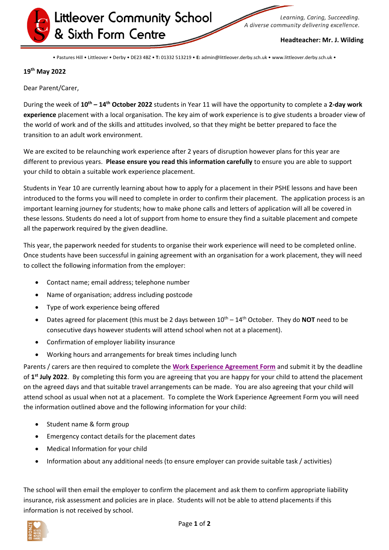

Learning, Caring, Succeeding. A diverse community delivering excellence.

## **Headteacher: Mr. J. Wilding**

• Pastures Hill • Littleover • Derby • DE23 4BZ • **T:** 01332 513219 • **E:** admin@littleover.derby.sch.uk • www.littleover.derby.sch.uk •

## **19 th May 2022**

Dear Parent/Carer,

During the week of **10th – 14th October 2022** students in Year 11 will have the opportunity to complete a **2-day work experience** placement with a local organisation. The key aim of work experience is to give students a broader view of the world of work and of the skills and attitudes involved, so that they might be better prepared to face the transition to an adult work environment.

We are excited to be relaunching work experience after 2 years of disruption however plans for this year are different to previous years. **Please ensure you read this information carefully** to ensure you are able to support your child to obtain a suitable work experience placement.

Students in Year 10 are currently learning about how to apply for a placement in their PSHE lessons and have been introduced to the forms you will need to complete in order to confirm their placement. The application process is an important learning journey for students; how to make phone calls and letters of application will all be covered in these lessons. Students do need a lot of support from home to ensure they find a suitable placement and compete all the paperwork required by the given deadline.

This year, the paperwork needed for students to organise their work experience will need to be completed online. Once students have been successful in gaining agreement with an organisation for a work placement, they will need to collect the following information from the employer:

- Contact name; email address; telephone number
- Name of organisation; address including postcode
- Type of work experience being offered
- Dates agreed for placement (this must be 2 days between  $10^{th} 14^{th}$  October. They do **NOT** need to be consecutive days however students will attend school when not at a placement).
- Confirmation of employer liability insurance
- Working hours and arrangements for break times including lunch

Parents / carers are then required to complete the **[Work Experience Agreement Form](https://forms.office.com/r/nXzM8GcX3j)** and submit it by the deadline of **1 st July 2022**. By completing this form you are agreeing that you are happy for your child to attend the placement on the agreed days and that suitable travel arrangements can be made. You are also agreeing that your child will attend school as usual when not at a placement. To complete the Work Experience Agreement Form you will need the information outlined above and the following information for your child:

- Student name & form group
- Emergency contact details for the placement dates
- Medical Information for your child
- Information about any additional needs (to ensure employer can provide suitable task / activities)

The school will then email the employer to confirm the placement and ask them to confirm appropriate liability insurance, risk assessment and policies are in place. Students will not be able to attend placements if this information is not received by school.